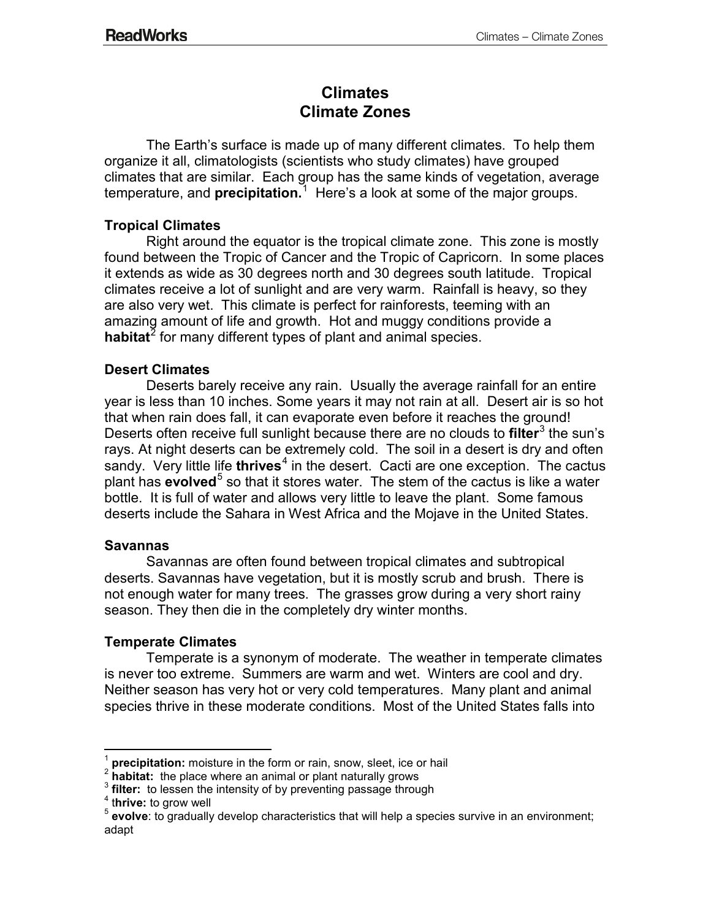# **Climates Climate Zones**

The Earth's surface is made up of many different climates. To help them organize it all, climatologists (scientists who study climates) have grouped climates that are similar. Each group has the same kinds of vegetation, average temperature, and **precipitation.**<sup>1</sup> Here's a look at some of the major groups.

# **Tropical Climates**

Right around the equator is the tropical climate zone. This zone is mostly found between the Tropic of Cancer and the Tropic of Capricorn. In some places it extends as wide as 30 degrees north and 30 degrees south latitude. Tropical climates receive a lot of sunlight and are very warm. Rainfall is heavy, so they are also very wet. This climate is perfect for rainforests, teeming with an amazing amount of life and growth. Hot and muggy conditions provide a habitat<sup>2</sup> for many different types of plant and animal species.

## **Desert Climates**

Deserts barely receive any rain. Usually the average rainfall for an entire year is less than 10 inches. Some years it may not rain at all. Desert air is so hot that when rain does fall, it can evaporate even before it reaches the ground! Deserts often receive full sunlight because there are no clouds to **filter**<sup>3</sup> the sun's rays. At night deserts can be extremely cold. The soil in a desert is dry and often sandy. Very little life **thrives**<sup>4</sup> in the desert. Cacti are one exception. The cactus plant has **evolved**<sup>5</sup> so that it stores water. The stem of the cactus is like a water bottle. It is full of water and allows very little to leave the plant. Some famous deserts include the Sahara in West Africa and the Mojave in the United States.

## **Savannas**

Savannas are often found between tropical climates and subtropical deserts. Savannas have vegetation, but it is mostly scrub and brush. There is not enough water for many trees. The grasses grow during a very short rainy season. They then die in the completely dry winter months.

## **Temperate Climates**

Temperate is a synonym of moderate. The weather in temperate climates is never too extreme. Summers are warm and wet. Winters are cool and dry. Neither season has very hot or very cold temperatures. Many plant and animal species thrive in these moderate conditions. Most of the United States falls into

 $\overline{a}$ 

<sup>&</sup>lt;sup>1</sup> **precipitation:** moisture in the form or rain, snow, sleet, ice or hail  $\frac{2}{3}$  **habitat:** the place where an animal or plant naturally grows

<sup>&</sup>lt;sup>3</sup> filter: to lessen the intensity of by preventing passage through<br>
<sup>4</sup> thrive: to grow well<br>
<sup>5</sup> evolve: to gradually develop characteristics that will help a species survive in an environment; adapt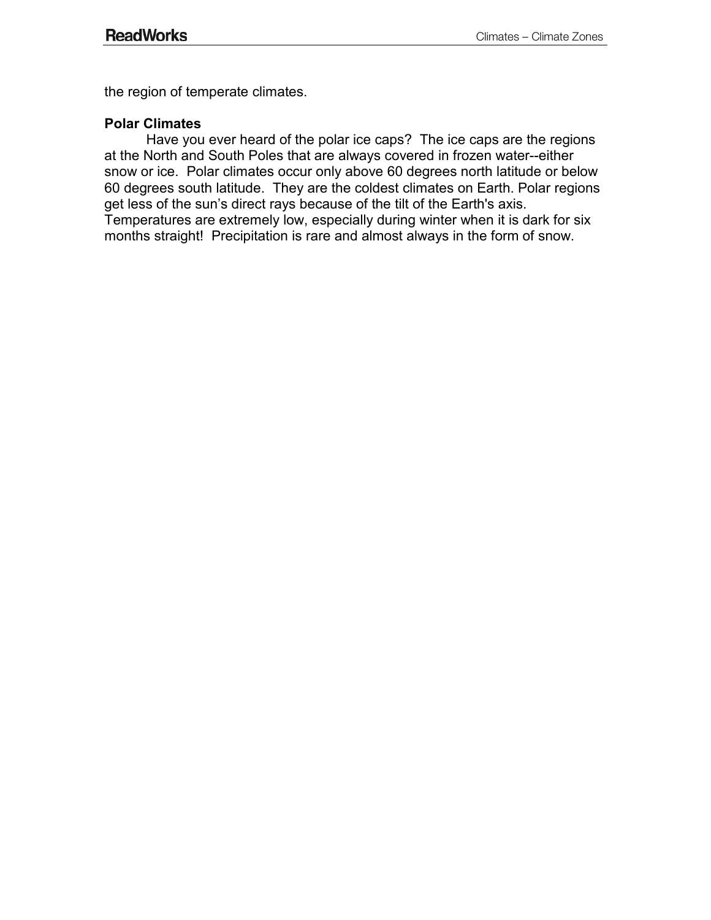the region of temperate climates.

#### **Polar Climates**

Have you ever heard of the polar ice caps? The ice caps are the regions at the North and South Poles that are always covered in frozen water--either snow or ice. Polar climates occur only above 60 degrees north latitude or below 60 degrees south latitude. They are the coldest climates on Earth. Polar regions get less of the sun's direct rays because of the tilt of the Earth's axis. Temperatures are extremely low, especially during winter when it is dark for six months straight! Precipitation is rare and almost always in the form of snow.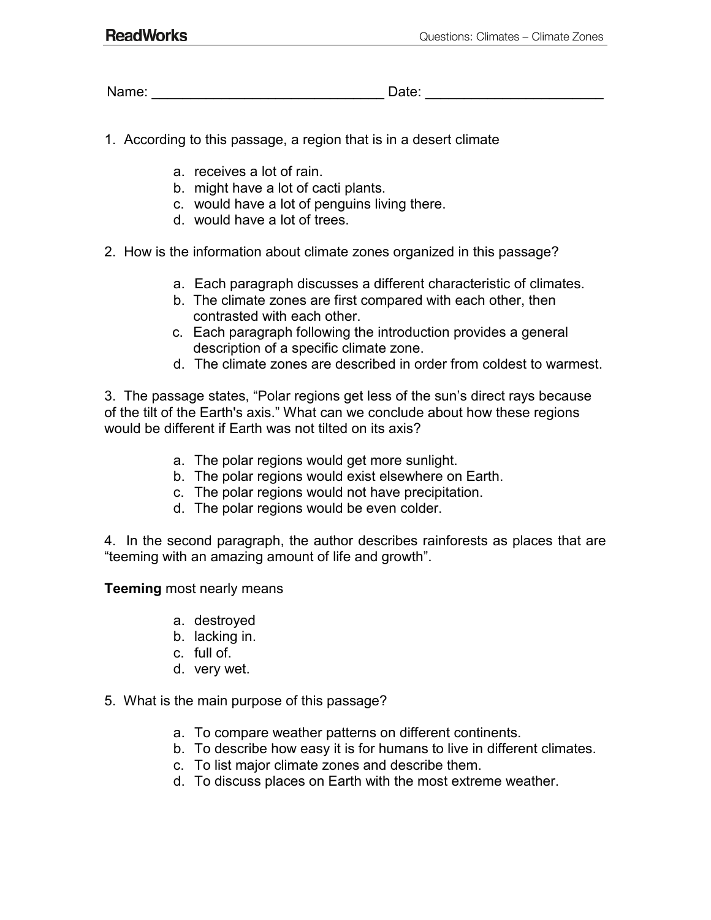Name: The contract of the contract of the contract of the contract of the contract of the contract of the contract of the contract of the contract of the contract of the contract of the contract of the contract of the cont

- 1. According to this passage, a region that is in a desert climate
	- a. receives a lot of rain.
	- b. might have a lot of cacti plants.
	- c. would have a lot of penguins living there.
	- d. would have a lot of trees.
- 2. How is the information about climate zones organized in this passage?
	- a. Each paragraph discusses a different characteristic of climates.
	- b. The climate zones are first compared with each other, then contrasted with each other.
	- c. Each paragraph following the introduction provides a general description of a specific climate zone.
	- d. The climate zones are described in order from coldest to warmest.

3. The passage states, "Polar regions get less of the sun's direct rays because of the tilt of the Earth's axis." What can we conclude about how these regions would be different if Earth was not tilted on its axis?

- a. The polar regions would get more sunlight.
- b. The polar regions would exist elsewhere on Earth.
- c. The polar regions would not have precipitation.
- d. The polar regions would be even colder.

4. In the second paragraph, the author describes rainforests as places that are "teeming with an amazing amount of life and growth".

**Teeming** most nearly means

- a. destroyed
- b. lacking in.
- c. full of.
- d. very wet.

#### 5. What is the main purpose of this passage?

- a. To compare weather patterns on different continents.
- b. To describe how easy it is for humans to live in different climates.
- c. To list major climate zones and describe them.
- d. To discuss places on Earth with the most extreme weather.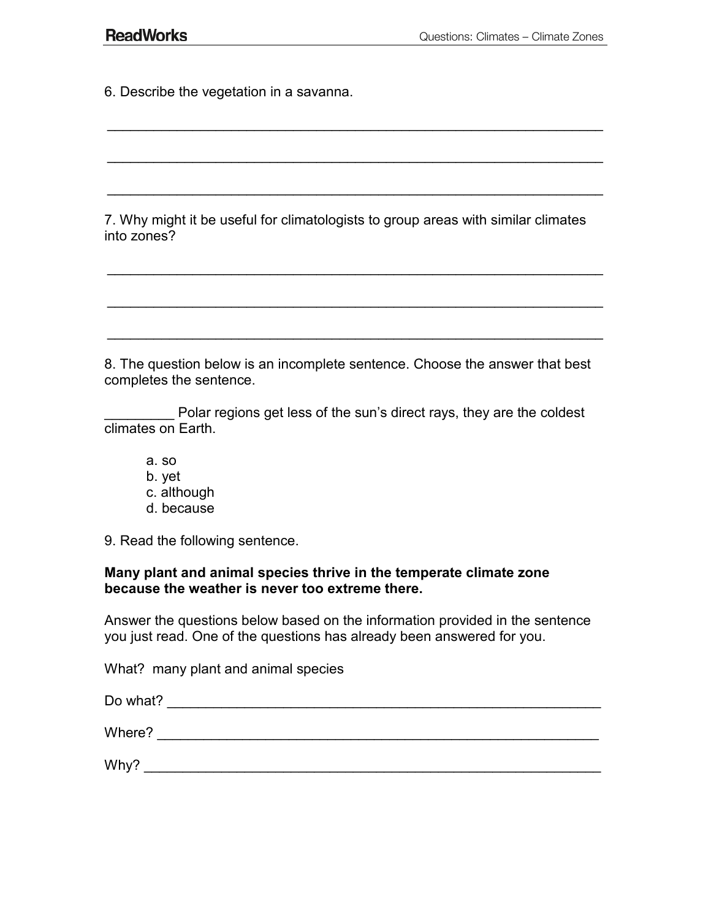6. Describe the vegetation in a savanna.

7. Why might it be useful for climatologists to group areas with similar climates into zones?

\_\_\_\_\_\_\_\_\_\_\_\_\_\_\_\_\_\_\_\_\_\_\_\_\_\_\_\_\_\_\_\_\_\_\_\_\_\_\_\_\_\_\_\_\_\_\_\_\_\_\_\_\_\_\_\_\_\_\_\_\_\_\_\_

 $\mathcal{L}_\text{max}$  and  $\mathcal{L}_\text{max}$  and  $\mathcal{L}_\text{max}$  and  $\mathcal{L}_\text{max}$  and  $\mathcal{L}_\text{max}$  and  $\mathcal{L}_\text{max}$ 

\_\_\_\_\_\_\_\_\_\_\_\_\_\_\_\_\_\_\_\_\_\_\_\_\_\_\_\_\_\_\_\_\_\_\_\_\_\_\_\_\_\_\_\_\_\_\_\_\_\_\_\_\_\_\_\_\_\_\_\_\_\_\_\_

\_\_\_\_\_\_\_\_\_\_\_\_\_\_\_\_\_\_\_\_\_\_\_\_\_\_\_\_\_\_\_\_\_\_\_\_\_\_\_\_\_\_\_\_\_\_\_\_\_\_\_\_\_\_\_\_\_\_\_\_\_\_\_\_

 $\mathcal{L}_\text{max}$  and  $\mathcal{L}_\text{max}$  and  $\mathcal{L}_\text{max}$  and  $\mathcal{L}_\text{max}$  and  $\mathcal{L}_\text{max}$  and  $\mathcal{L}_\text{max}$ 

\_\_\_\_\_\_\_\_\_\_\_\_\_\_\_\_\_\_\_\_\_\_\_\_\_\_\_\_\_\_\_\_\_\_\_\_\_\_\_\_\_\_\_\_\_\_\_\_\_\_\_\_\_\_\_\_\_\_\_\_\_\_\_\_

8. The question below is an incomplete sentence. Choose the answer that best completes the sentence.

Polar regions get less of the sun's direct rays, they are the coldest climates on Earth.

- a. so b. yet c. although
- d. because

9. Read the following sentence.

#### **Many plant and animal species thrive in the temperate climate zone because the weather is never too extreme there.**

Answer the questions below based on the information provided in the sentence you just read. One of the questions has already been answered for you.

What? many plant and animal species

| Do what? |  |
|----------|--|
| Where?   |  |
|          |  |
| Why?     |  |